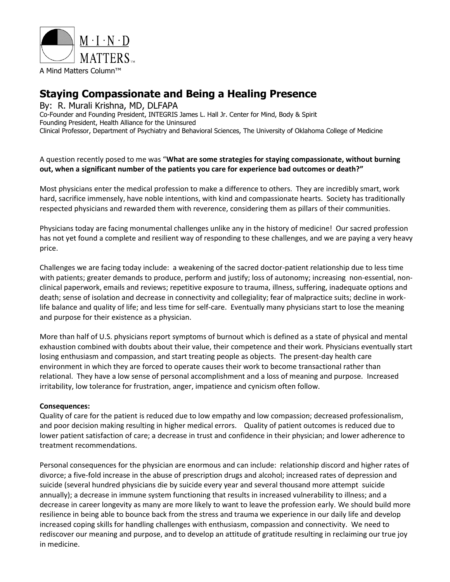

# **Staying Compassionate and Being a Healing Presence**

By: R. Murali Krishna, MD, DLFAPA Co-Founder and Founding President, INTEGRIS James L. Hall Jr. Center for Mind, Body & Spirit Founding President, Health Alliance for the Uninsured Clinical Professor, Department of Psychiatry and Behavioral Sciences, The University of Oklahoma College of Medicine

A question recently posed to me was "**What are some strategies for staying compassionate, without burning out, when a significant number of the patients you care for experience bad outcomes or death?"**

Most physicians enter the medical profession to make a difference to others. They are incredibly smart, work hard, sacrifice immensely, have noble intentions, with kind and compassionate hearts. Society has traditionally respected physicians and rewarded them with reverence, considering them as pillars of their communities.

Physicians today are facing monumental challenges unlike any in the history of medicine! Our sacred profession has not yet found a complete and resilient way of responding to these challenges, and we are paying a very heavy price.

Challenges we are facing today include: a weakening of the sacred doctor-patient relationship due to less time with patients; greater demands to produce, perform and justify; loss of autonomy; increasing non-essential, nonclinical paperwork, emails and reviews; repetitive exposure to trauma, illness, suffering, inadequate options and death; sense of isolation and decrease in connectivity and collegiality; fear of malpractice suits; decline in worklife balance and quality of life; and less time for self-care. Eventually many physicians start to lose the meaning and purpose for their existence as a physician.

More than half of U.S. physicians report symptoms of burnout which is defined as a state of physical and mental exhaustion combined with doubts about their value, their competence and their work. Physicians eventually start losing enthusiasm and compassion, and start treating people as objects. The present-day health care environment in which they are forced to operate causes their work to become transactional rather than relational. They have a low sense of personal accomplishment and a loss of meaning and purpose. Increased irritability, low tolerance for frustration, anger, impatience and cynicism often follow.

## **Consequences:**

Quality of care for the patient is reduced due to low empathy and low compassion; decreased professionalism, and poor decision making resulting in higher medical errors. Quality of patient outcomes is reduced due to lower patient satisfaction of care; a decrease in trust and confidence in their physician; and lower adherence to treatment recommendations.

Personal consequences for the physician are enormous and can include: relationship discord and higher rates of divorce; a five-fold increase in the abuse of prescription drugs and alcohol; increased rates of depression and suicide (several hundred physicians die by suicide every year and several thousand more attempt suicide annually); a decrease in immune system functioning that results in increased vulnerability to illness; and a decrease in career longevity as many are more likely to want to leave the profession early. We should build more resilience in being able to bounce back from the stress and trauma we experience in our daily life and develop increased coping skills for handling challenges with enthusiasm, compassion and connectivity. We need to rediscover our meaning and purpose, and to develop an attitude of gratitude resulting in reclaiming our true joy in medicine.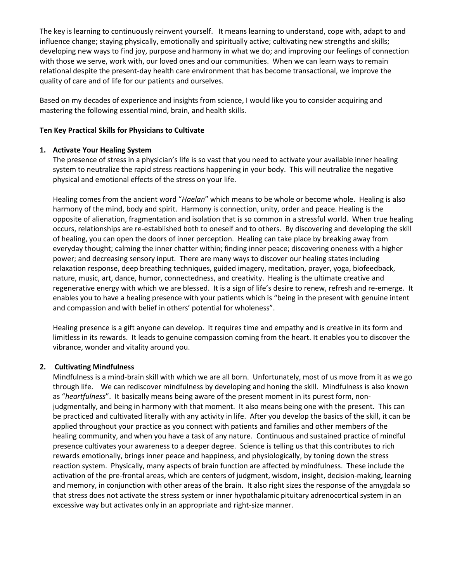The key is learning to continuously reinvent yourself. It means learning to understand, cope with, adapt to and influence change; staying physically, emotionally and spiritually active; cultivating new strengths and skills; developing new ways to find joy, purpose and harmony in what we do; and improving our feelings of connection with those we serve, work with, our loved ones and our communities. When we can learn ways to remain relational despite the present-day health care environment that has become transactional, we improve the quality of care and of life for our patients and ourselves.

Based on my decades of experience and insights from science, I would like you to consider acquiring and mastering the following essential mind, brain, and health skills.

#### **Ten Key Practical Skills for Physicians to Cultivate**

#### **1. Activate Your Healing System**

The presence of stress in a physician's life is so vast that you need to activate your available inner healing system to neutralize the rapid stress reactions happening in your body. This will neutralize the negative physical and emotional effects of the stress on your life.

Healing comes from the ancient word "*Haelan*" which means to be whole or become whole. Healing is also harmony of the mind, body and spirit. Harmony is connection, unity, order and peace. Healing is the opposite of alienation, fragmentation and isolation that is so common in a stressful world. When true healing occurs, relationships are re-established both to oneself and to others. By discovering and developing the skill of healing, you can open the doors of inner perception. Healing can take place by breaking away from everyday thought; calming the inner chatter within; finding inner peace; discovering oneness with a higher power; and decreasing sensory input. There are many ways to discover our healing states including relaxation response, deep breathing techniques, guided imagery, meditation, prayer, yoga, biofeedback, nature, music, art, dance, humor, connectedness, and creativity. Healing is the ultimate creative and regenerative energy with which we are blessed. It is a sign of life's desire to renew, refresh and re-emerge. It enables you to have a healing presence with your patients which is "being in the present with genuine intent and compassion and with belief in others' potential for wholeness".

Healing presence is a gift anyone can develop. It requires time and empathy and is creative in its form and limitless in its rewards. It leads to genuine compassion coming from the heart. It enables you to discover the vibrance, wonder and vitality around you.

## **2. Cultivating Mindfulness**

Mindfulness is a mind-brain skill with which we are all born. Unfortunately, most of us move from it as we go through life. We can rediscover mindfulness by developing and honing the skill. Mindfulness is also known as "*heartfulness*". It basically means being aware of the present moment in its purest form, nonjudgmentally, and being in harmony with that moment. It also means being one with the present. This can be practiced and cultivated literally with any activity in life. After you develop the basics of the skill, it can be applied throughout your practice as you connect with patients and families and other members of the healing community, and when you have a task of any nature. Continuous and sustained practice of mindful presence cultivates your awareness to a deeper degree. Science is telling us that this contributes to rich rewards emotionally, brings inner peace and happiness, and physiologically, by toning down the stress reaction system. Physically, many aspects of brain function are affected by mindfulness. These include the activation of the pre-frontal areas, which are centers of judgment, wisdom, insight, decision-making, learning and memory, in conjunction with other areas of the brain. It also right sizes the response of the amygdala so that stress does not activate the stress system or inner hypothalamic pituitary adrenocortical system in an excessive way but activates only in an appropriate and right-size manner.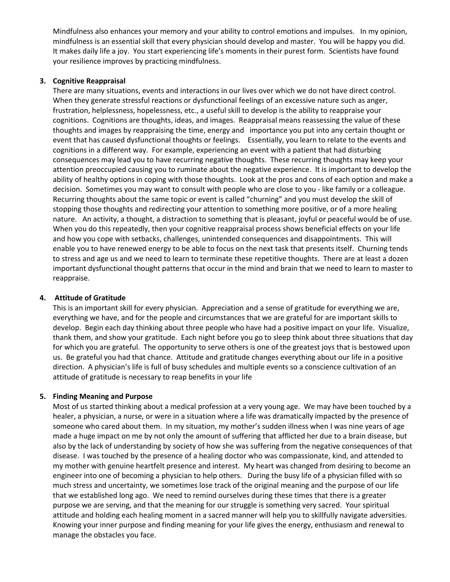Mindfulness also enhances your memory and your ability to control emotions and impulses. In my opinion, mindfulness is an essential skill that every physician should develop and master. You will be happy you did. It makes daily life a joy. You start experiencing life's moments in their purest form. Scientists have found your resilience improves by practicing mindfulness.

## **3. Cognitive Reappraisal**

There are many situations, events and interactions in our lives over which we do not have direct control. When they generate stressful reactions or dysfunctional feelings of an excessive nature such as anger, frustration, helplessness, hopelessness, etc., a useful skill to develop is the ability to reappraise your cognitions. Cognitions are thoughts, ideas, and images. Reappraisal means reassessing the value of these thoughts and images by reappraising the time, energy and importance you put into any certain thought or event that has caused dysfunctional thoughts or feelings. Essentially, you learn to relate to the events and cognitions in a different way. For example, experiencing an event with a patient that had disturbing consequences may lead you to have recurring negative thoughts. These recurring thoughts may keep your attention preoccupied causing you to ruminate about the negative experience. It is important to develop the ability of healthy options in coping with those thoughts. Look at the pros and cons of each option and make a decision. Sometimes you may want to consult with people who are close to you - like family or a colleague. Recurring thoughts about the same topic or event is called "churning" and you must develop the skill of stopping those thoughts and redirecting your attention to something more positive, or of a more healing nature. An activity, a thought, a distraction to something that is pleasant, joyful or peaceful would be of use. When you do this repeatedly, then your cognitive reappraisal process shows beneficial effects on your life and how you cope with setbacks, challenges, unintended consequences and disappointments. This will enable you to have renewed energy to be able to focus on the next task that presents itself. Churning tends to stress and age us and we need to learn to terminate these repetitive thoughts. There are at least a dozen important dysfunctional thought patterns that occur in the mind and brain that we need to learn to master to reappraise.

# **4. Attitude of Gratitude**

This is an important skill for every physician. Appreciation and a sense of gratitude for everything we are, everything we have, and for the people and circumstances that we are grateful for are important skills to develop. Begin each day thinking about three people who have had a positive impact on your life. Visualize, thank them, and show your gratitude. Each night before you go to sleep think about three situations that day for which you are grateful. The opportunity to serve others is one of the greatest joys that is bestowed upon us. Be grateful you had that chance. Attitude and gratitude changes everything about our life in a positive direction. A physician's life is full of busy schedules and multiple events so a conscience cultivation of an attitude of gratitude is necessary to reap benefits in your life

# **5. Finding Meaning and Purpose**

Most of us started thinking about a medical profession at a very young age. We may have been touched by a healer, a physician, a nurse, or were in a situation where a life was dramatically impacted by the presence of someone who cared about them. In my situation, my mother's sudden illness when I was nine years of age made a huge impact on me by not only the amount of suffering that afflicted her due to a brain disease, but also by the lack of understanding by society of how she was suffering from the negative consequences of that disease. I was touched by the presence of a healing doctor who was compassionate, kind, and attended to my mother with genuine heartfelt presence and interest. My heart was changed from desiring to become an engineer into one of becoming a physician to help others. During the busy life of a physician filled with so much stress and uncertainty, we sometimes lose track of the original meaning and the purpose of our life that we established long ago. We need to remind ourselves during these times that there is a greater purpose we are serving, and that the meaning for our struggle is something very sacred. Your spiritual attitude and holding each healing moment in a sacred manner will help you to skillfully navigate adversities. Knowing your inner purpose and finding meaning for your life gives the energy, enthusiasm and renewal to manage the obstacles you face.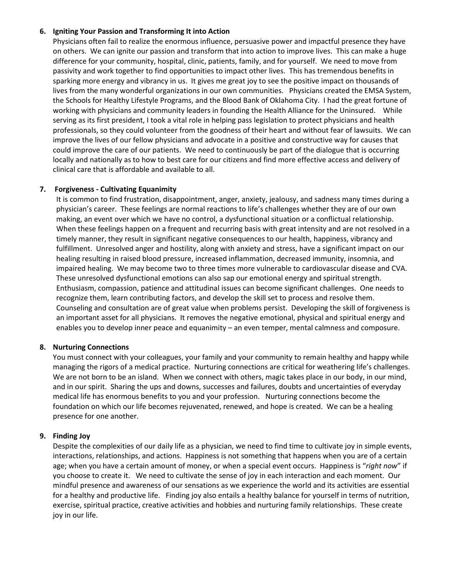## **6. Igniting Your Passion and Transforming It into Action**

Physicians often fail to realize the enormous influence, persuasive power and impactful presence they have on others. We can ignite our passion and transform that into action to improve lives. This can make a huge difference for your community, hospital, clinic, patients, family, and for yourself. We need to move from passivity and work together to find opportunities to impact other lives. This has tremendous benefits in sparking more energy and vibrancy in us. It gives me great joy to see the positive impact on thousands of lives from the many wonderful organizations in our own communities. Physicians created the EMSA System, the Schools for Healthy Lifestyle Programs, and the Blood Bank of Oklahoma City. I had the great fortune of working with physicians and community leaders in founding the Health Alliance for the Uninsured. While serving as its first president, I took a vital role in helping pass legislation to protect physicians and health professionals, so they could volunteer from the goodness of their heart and without fear of lawsuits. We can improve the lives of our fellow physicians and advocate in a positive and constructive way for causes that could improve the care of our patients. We need to continuously be part of the dialogue that is occurring locally and nationally as to how to best care for our citizens and find more effective access and delivery of clinical care that is affordable and available to all.

## **7. Forgiveness - Cultivating Equanimity**

It is common to find frustration, disappointment, anger, anxiety, jealousy, and sadness many times during a physician's career. These feelings are normal reactions to life's challenges whether they are of our own making, an event over which we have no control, a dysfunctional situation or a conflictual relationship. When these feelings happen on a frequent and recurring basis with great intensity and are not resolved in a timely manner, they result in significant negative consequences to our health, happiness, vibrancy and fulfillment. Unresolved anger and hostility, along with anxiety and stress, have a significant impact on our healing resulting in raised blood pressure, increased inflammation, decreased immunity, insomnia, and impaired healing. We may become two to three times more vulnerable to cardiovascular disease and CVA. These unresolved dysfunctional emotions can also sap our emotional energy and spiritual strength. Enthusiasm, compassion, patience and attitudinal issues can become significant challenges. One needs to recognize them, learn contributing factors, and develop the skill set to process and resolve them. Counseling and consultation are of great value when problems persist. Developing the skill of forgiveness is an important asset for all physicians. It removes the negative emotional, physical and spiritual energy and enables you to develop inner peace and equanimity – an even temper, mental calmness and composure.

## **8. Nurturing Connections**

You must connect with your colleagues, your family and your community to remain healthy and happy while managing the rigors of a medical practice. Nurturing connections are critical for weathering life's challenges. We are not born to be an island. When we connect with others, magic takes place in our body, in our mind, and in our spirit. Sharing the ups and downs, successes and failures, doubts and uncertainties of everyday medical life has enormous benefits to you and your profession. Nurturing connections become the foundation on which our life becomes rejuvenated, renewed, and hope is created. We can be a healing presence for one another.

# **9. Finding Joy**

Despite the complexities of our daily life as a physician, we need to find time to cultivate joy in simple events, interactions, relationships, and actions. Happiness is not something that happens when you are of a certain age; when you have a certain amount of money, or when a special event occurs. Happiness is "*right now*" if you choose to create it. We need to cultivate the sense of joy in each interaction and each moment. Our mindful presence and awareness of our sensations as we experience the world and its activities are essential for a healthy and productive life. Finding joy also entails a healthy balance for yourself in terms of nutrition, exercise, spiritual practice, creative activities and hobbies and nurturing family relationships. These create joy in our life.